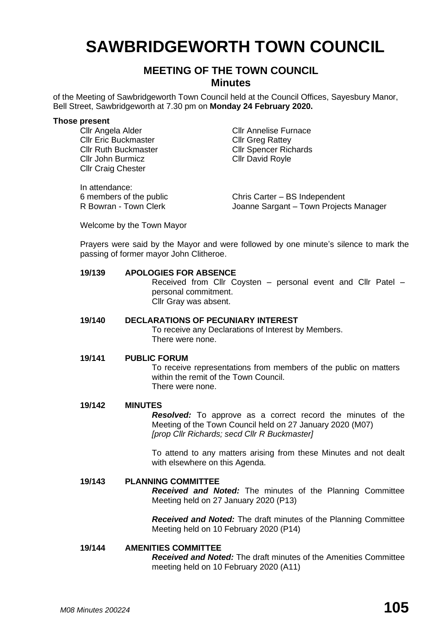# **SAWBRIDGEWORTH TOWN COUNCIL**

## **MEETING OF THE TOWN COUNCIL Minutes**

of the Meeting of Sawbridgeworth Town Council held at the Council Offices, Sayesbury Manor, Bell Street, Sawbridgeworth at 7.30 pm on **Monday 24 February 2020.**

#### **Those present**

Cllr Eric Buckmaster Cllr Greg Rattey Cllr John Burmicz Cllr David Royle Cllr Craig Chester

In attendance:

Cllr Angela Alder Cllr Annelise Furnace Cllr Ruth Buckmaster Cllr Spencer Richards

6 members of the public Chris Carter – BS Independent R Bowran - Town Clerk Joanne Sargant – Town Projects Manager

Welcome by the Town Mayor

Prayers were said by the Mayor and were followed by one minute's silence to mark the passing of former mayor John Clitheroe.

#### **19/139 APOLOGIES FOR ABSENCE**

Received from Cllr Coysten – personal event and Cllr Patel – personal commitment. Cllr Gray was absent.

#### **19/140 DECLARATIONS OF PECUNIARY INTEREST**

To receive any Declarations of Interest by Members. There were none.

#### **19/141 PUBLIC FORUM**

To receive representations from members of the public on matters within the remit of the Town Council. There were none.

#### **19/142 MINUTES**

*Resolved:* To approve as a correct record the minutes of the Meeting of the Town Council held on 27 January 2020 (M07) *[prop Cllr Richards; secd Cllr R Buckmaster]*

To attend to any matters arising from these Minutes and not dealt with elsewhere on this Agenda.

#### **19/143 PLANNING COMMITTEE**

*Received and Noted:* The minutes of the Planning Committee Meeting held on 27 January 2020 (P13)

*Received and Noted:* The draft minutes of the Planning Committee Meeting held on 10 February 2020 (P14)

#### **19/144 AMENITIES COMMITTEE**

*Received and Noted:* The draft minutes of the Amenities Committee meeting held on 10 February 2020 (A11)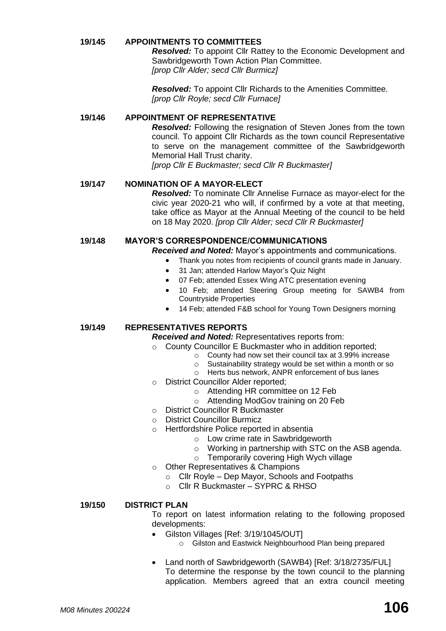#### **19/145 APPOINTMENTS TO COMMITTEES**

*Resolved:* To appoint Cllr Rattey to the Economic Development and Sawbridgeworth Town Action Plan Committee. *[prop Cllr Alder; secd Cllr Burmicz]*

*Resolved:* To appoint Cllr Richards to the Amenities Committee. *[prop Cllr Royle; secd Cllr Furnace]*

#### **19/146 APPOINTMENT OF REPRESENTATIVE**

*Resolved:* Following the resignation of Steven Jones from the town council. To appoint Cllr Richards as the town council Representative to serve on the management committee of the Sawbridgeworth Memorial Hall Trust charity.

*[prop Cllr E Buckmaster; secd Cllr R Buckmaster]*

#### **19/147 NOMINATION OF A MAYOR-ELECT**

*Resolved:* To nominate Cllr Annelise Furnace as mayor-elect for the civic year 2020-21 who will, if confirmed by a vote at that meeting, take office as Mayor at the Annual Meeting of the council to be held on 18 May 2020. *[prop Cllr Alder; secd Cllr R Buckmaster]*

#### **19/148 MAYOR'S CORRESPONDENCE/COMMUNICATIONS**

*Received and Noted:* Mayor's appointments and communications.

- Thank you notes from recipients of council grants made in January.
- 31 Jan; attended Harlow Mayor's Quiz Night
- 07 Feb; attended Essex Wing ATC presentation evening
- 10 Feb; attended Steering Group meeting for SAWB4 from Countryside Properties
- 14 Feb; attended F&B school for Young Town Designers morning

#### **19/149 REPRESENTATIVES REPORTS**

*Received and Noted:* Representatives reports from:

- o County Councillor E Buckmaster who in addition reported;
	- o County had now set their council tax at 3.99% increase
	- o Sustainability strategy would be set within a month or so
	- o Herts bus network, ANPR enforcement of bus lanes
- o District Councillor Alder reported;
	- o Attending HR committee on 12 Feb
	- o Attending ModGov training on 20 Feb
- o District Councillor R Buckmaster
- o District Councillor Burmicz
- o Hertfordshire Police reported in absentia
	- o Low crime rate in Sawbridgeworth
	- o Working in partnership with STC on the ASB agenda.
	- o Temporarily covering High Wych village
- o Other Representatives & Champions
	- o Cllr Royle Dep Mayor, Schools and Footpaths
	- o Cllr R Buckmaster SYPRC & RHSO

#### **19/150 DISTRICT PLAN**

To report on latest information relating to the following proposed developments:

- Gilston Villages [Ref: 3/19/1045/OUT]
	- o Gilston and Eastwick Neighbourhood Plan being prepared
- Land north of Sawbridgeworth (SAWB4) [Ref: 3/18/2735/FUL] To determine the response by the town council to the planning application. Members agreed that an extra council meeting